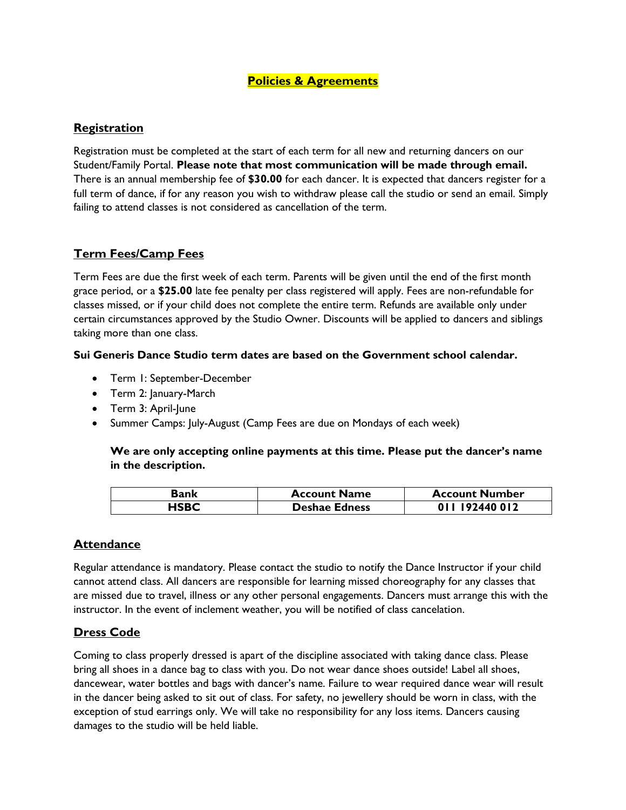#### **Policies & Agreements**

## **Registration**

Registration must be completed at the start of each term for all new and returning dancers on our Student/Family Portal. **Please note that most communication will be made through email.** There is an annual membership fee of **\$30.00** for each dancer. It is expected that dancers register for a full term of dance, if for any reason you wish to withdraw please call the studio or send an email. Simply failing to attend classes is not considered as cancellation of the term.

## **Term Fees/Camp Fees**

Term Fees are due the first week of each term. Parents will be given until the end of the first month grace period, or a **\$25.00** late fee penalty per class registered will apply. Fees are non-refundable for classes missed, or if your child does not complete the entire term. Refunds are available only under certain circumstances approved by the Studio Owner. Discounts will be applied to dancers and siblings taking more than one class.

#### **Sui Generis Dance Studio term dates are based on the Government school calendar.**

- Term 1: September-December
- Term 2: January-March
- Term 3: April-June
- Summer Camps: July-August (Camp Fees are due on Mondays of each week)

#### **We are only accepting online payments at this time. Please put the dancer's name in the description.**

| Bank | <b>Account Name</b>  | <b>Account Number</b> |
|------|----------------------|-----------------------|
| HSBC | <b>Deshae Edness</b> | 011 192440 012        |

## **Attendance**

Regular attendance is mandatory. Please contact the studio to notify the Dance Instructor if your child cannot attend class. All dancers are responsible for learning missed choreography for any classes that are missed due to travel, illness or any other personal engagements. Dancers must arrange this with the instructor. In the event of inclement weather, you will be notified of class cancelation.

## **Dress Code**

Coming to class properly dressed is apart of the discipline associated with taking dance class. Please bring all shoes in a dance bag to class with you. Do not wear dance shoes outside! Label all shoes, dancewear, water bottles and bags with dancer's name. Failure to wear required dance wear will result in the dancer being asked to sit out of class. For safety, no jewellery should be worn in class, with the exception of stud earrings only. We will take no responsibility for any loss items. Dancers causing damages to the studio will be held liable.